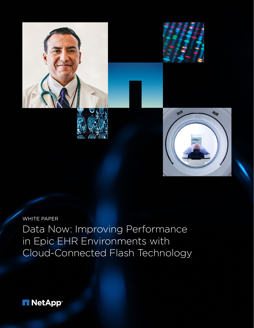

WHITE PAPER Data Now: Improving Performance in Epic EHR Environments with Cloud-Connected Flash Technology

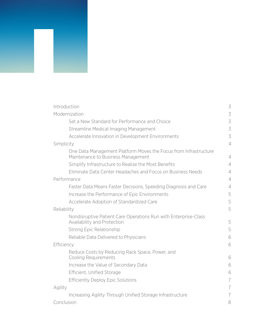| Introduction                                                                                           | 3              |
|--------------------------------------------------------------------------------------------------------|----------------|
| Modernization                                                                                          | 3              |
| Set a New Standard for Performance and Choice                                                          | 3              |
| Streamline Medical Imaging Management                                                                  | 3              |
| Accelerate Innovation in Development Environments                                                      | 3              |
| Simplicity                                                                                             | $\overline{4}$ |
| One Data Management Platform Moves the Focus from Infrastructure<br>Maintenance to Business Management | $\overline{4}$ |
| Simplify Infrastructure to Realize the Most Benefits                                                   | $\overline{4}$ |
| Eliminate Data Center Headaches and Focus on Business Needs                                            | $\overline{4}$ |
| Performance                                                                                            | $\overline{4}$ |
| Faster Data Means Faster Decisions, Speeding Diagnosis and Care                                        | $\overline{4}$ |
| Increase the Performance of Epic Environments                                                          | 5              |
| Accelerate Adoption of Standardized Care                                                               | 5              |
| Reliability                                                                                            | 5              |
| Nondisruptive Patient Care Operations Run with Enterprise-Class<br>Availability and Protection         | 5              |
| Strong Epic Relationship                                                                               | 5              |
| Reliable Data Delivered to Physicians                                                                  | 6              |
| Efficiency                                                                                             | 6              |
| Reduce Costs by Reducing Rack Space, Power, and<br><b>Cooling Requirements</b>                         | 6              |
| Increase the Value of Secondary Data                                                                   | 6              |
| Efficient, Unified Storage                                                                             | 6              |
| <b>Efficiently Deploy Epic Solutions</b>                                                               | 7              |
| Agility                                                                                                | $\overline{ }$ |
| Increasing Agility Through Unified Storage Infrastructure                                              | 7              |
| Conclusion                                                                                             | 8              |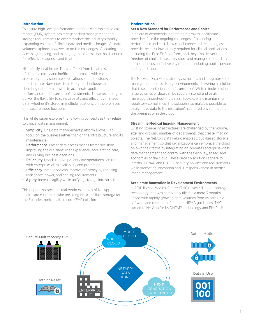# <span id="page-2-0"></span>**Introduction**

To ensure high-level performance, the Epic electronic medical record (EMR) system has stringent data management and storage requirements to accommodate the industry's rapidly expanding volume of clinical data and medical images. As data volumes explode, however, so do the challenges of securing, accessing, moving, and managing the information that is critical for effective diagnosis and treatment.

Historically, healthcare IT has sufered from isolated silos of data  $-$  a costly and inefficient approach, with each silo managed by separate applications and data storage infrastructure. Now, new data storage technologies are liberating data from its silos to accelerate application performance and future-proof investments. These technologies deliver the flexibility to scale capacity and efficiently manage data, whether it's stored in multiple locations, on the premises, or in secure cloud locations.

This white paper explores the following concepts as they relate to clinical data management:

- Simplicity. One data management platform allows IT to focus on the business rather than on the infrastructure and its maintenance.
- Performance. Faster data access means faster decisions, improving the clinicians' user experience, accelerating care, and driving business decisions.
- Reliability. Nondisruptive patient care operations can run with enterprise-class availability and protection.
- Efficiency. Institutions can improve efficiency by reducing rack space, power, and cooling requirements.
- Agility. Increase agility while unifying storage infrastructure.

This paper also presents real-world examples of NetApp healthcare customers who are using NetApp® flash storage for the Epic electronic health record (EHR) platform.

## **Modernization**

### **Set a New Standard for Performance and Choice**

In an era of exponential patient data growth, healthcare providers face the ongoing challenges of balancing performance and cost. New cloud-connected technologies provide the ultra-low latency required for clinical applications, including the Epic EHR platform, and they also deliver the freedom of choice to securely store and manage patient data in the most cost-effective environment, including public, private, and hybrid cloud.

The NetApp Data Fabric strategy simplifies and integrates data management across storage environments, delivering a solution that is secure, efficient, and future-proof. With a single solution, large volumes of data can be securely stored and easily managed throughout the data's lifecycle, while maintaining regulatory compliance. The solution also makes it possible to easily move data to the institution's preferred environment, on the premises or in the cloud.

### **Streamline Medical Imaging Management**

Existing storage infrastructures are challenged by the volume, size, and growing number of departments that create imaging objects. The NetApp Data Fabric enables cloud-based storage and management, so that organizations can embrace the cloud on own their terms by integrating on-premises enterprise-class data management and control with the flexibility, speed, and economies of the cloud. These NetApp solutions adhere to internal, HIPAA, and HITECH security policies and requirements while promoting innovation and IT responsiveness in medical image management.

## **Accelerate Innovation in Development Environments**

In 2011, Tucson Medical Center (TMC) invested in data storage technology that was completely filled in a mere 3 months. Faced with rapidly growing data volumes from its core Epic software and retention of data per HIPAA guidelines, TMC turned to NetApp for its ONTAP® technology and FlexPod®

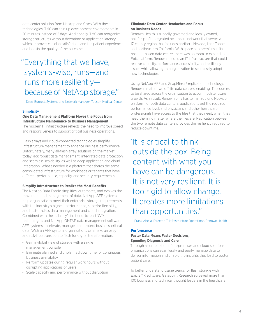<span id="page-3-0"></span>data center solution from NetApp and Cisco. With these technologies, TMC can spin up development environments in 20 minutes instead of 2 days. Additionally, TMC can reorganize storage structures without downtime or application latency, which improves clinician satisfaction and the patient experience, and boosts the quality of the outcome.

# "Everything that we have, systems-wise, runs—and runs more resiliently because of NetApp storage."

—Drew Burnett, Systems and Network Manager, Tucson Medical Center

# **Simplicity**

# **One Data Management Platform Moves the Focus from Infrastructure Maintenance to Business Management**

The modern IT infrastructure reflects the need to improve speed and responsiveness to support critical business operations.

Flash arrays and cloud-connected technologies simplify infrastructure management to enhance business performance. Unfortunately, many all-flash array solutions on the market today lack robust data management, integrated data protection, and seamless scalability, as well as deep application and cloud integration. What's needed is a platform that shares the same consolidated infrastructure for workloads or tenants that have diferent performance, capacity, and security requirements.

# **Simplify Infrastructure to Realize the Most Benefits**

The NetApp Data Fabric simplifies, automates, and evolves the movement and management of data. NetApp AFF systems help organizations meet their enterprise storage requirements with the industry's highest performance, superior flexibility, and best-in-class data management and cloud integration. Combined with the industry's first end-to-end NVMe technologies and NetApp ONTAP data management software, AFF systems accelerate, manage, and protect business-critical data. With an AFF system, organizations can make an easy and risk-free transition to flash for digital transformation.

- Gain a global view of storage with a single management console
- Eliminate planned and unplanned downtime for continuous business availability
- Perform updates during regular work hours without disrupting applications or users
- Scale capacity and performance without disruption

# **Eliminate Data Center Headaches and Focus on Business Needs**

Renown Health is a locally governed and locally owned, not-for-profit integrated healthcare network that serves a 17-county region that includes northern Nevada, Lake Tahoe, and northeastern California. With space at a premium in its hospital-based data center, there was no room to expand its Epic platform. Renown needed an IT infrastructure that could resolve capacity, performance, accessibility, and resiliency issues while allowing the organization to seamlessly adopt new technologies.

Using NetApp AFF and SnapMirror® replication technology, Renown created two offsite data centers, enabling IT resources to be shared across the organization to accommodate future growth. As a result, Renown only has to manage one NetApp platform for both data centers, applications get the required performance level, and physicians and other healthcare professionals have access to the files that they need, when they need them, no matter where the files are. Replication between the two remote data centers provides the resiliency required to reduce downtime.

# "It is critical to think outside the box. Being content with what you have can be dangerous. It is not very resilient. It is too rigid to allow change. It creates more limitations than opportunities."

—Frank Abella, Director IT Infrastructure Operations, Renown Health

### **Performance**

# **Faster Data Means Faster Decisions, Speeding Diagnosis and Care**

Through a combination of on-premises and cloud solutions, organizations can seamlessly and easily manage data to deliver information and enable the insights that lead to better patient care.

To better understand usage trends for flash storage with Epic EMR software, Gatepoint Research surveyed more than 100 business and technical thought leaders in the healthcare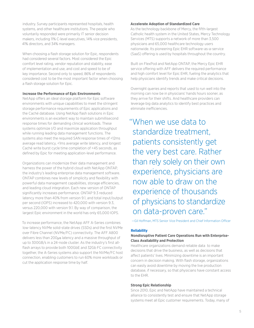<span id="page-4-0"></span>industry. Survey participants represented hospitals, health systems, and other healthcare institutions. The people who voluntarily responded were primarily IT senior decision makers, including 11% C-level executives, 14% vice presidents, 41% directors, and 34% managers.

When choosing a flash storage solution for Epic, respondents had considered several factors. Most considered the Epic comfort level rating, vendor reputation and stability, ease of implementation and use, and cost and speed to be of key importance. Second only to speed, 86% of respondents considered cost to be the most important factor when choosing a flash storage solution for Epic.

# **Increase the Performance of Epic Environments**

NetApp offers an ideal storage platform for Epic software environments with unique capabilities to meet the stringent storage performance requirements of Epic applications and the Caché database. Using NetApp flash solutions in Epic environments is an excellent way to maintain submillisecond response times for demanding clinical workloads. These systems optimize I/O and maximize application throughput while running leading data management functions. The systems also meet the required SAN response times of <12ms average read latency, <1ms average write latency, and longest Caché write burst cycle time completion of <45 seconds, as defined by Epic for meeting application-level performance.

Organizations can modernize their data management and harness the power of the hybrid cloud with NetApp ONTAP, the industry's leading enterprise data management software. ONTAP combines new levels of simplicity and flexibility with powerful data management capabilities, storage efficiencies, and leading cloud integration. Each new version of ONTAP significantly increases performance. ONTAP 9.3 reduced latency more than 40% from version 9.1, and total input/output per second (IOPS) increased to 420,000 with version 9.3, versus 220,000 with version 9.1. By way of comparison, the largest Epic environment in the world has only 65,000 IOPS.

To increase performance, the NetApp AFF A-Series combines low-latency NVMe solid-state drives (SSDs) and the first NVMe over Fibre Channel (NVMe/FC) connectivity. The AFF A800 delivers less than 200µs latency and a massive throughput of up to 300GB/s in a 24-node cluster. As the industry's first allflash arrays to provide both 100GbE and 32Gb FC connectivity together, the A-Series systems also support the NVMe/FC host connection, enabling customers to run 60% more workloads or cut the application response time by half.

# **Accelerate Adoption of Standardized Care**

As the technology backbone of Mercy, the fifth-largest Catholic health system in the United States, Mercy Technology Services (MTS) supports a network of more than 3,500 physicians and 65,000 healthcare technology users nationwide. Its pioneering Epic EHR software-as-a-service (SaaS) offering is used by hospitals throughout the country.

Built on FlexPod and NetApp ONTAP, the Mercy Epic EHR service offering with AFF delivers the required performance and high comfort level for Epic EHR, fueling the analytics that help physicians identify trends and make critical decisions.

Overnight queries and reports that used to run well into the morning can now be in physicians' hands hours sooner, as they arrive for their shifts. And healthcare providers can leverage big data analytics to identify best practices and eliminate inefficiencies.

# "When we use data to standardize treatment, patients consistently get the very best care. Rather than rely solely on their own experience, physicians are now able to draw on the experience of thousands of physicians to standardize on data-proven care."

-Gil Hoffman, MTS Senior Vice President and Chief Information Officer

#### **Reliability**

# **Nondisruptive Patient Care Operations Run with Enterprise-Class Availability and Protection**

Healthcare organizations demand reliable data to make decisions that drive the business, as well as decisions that afect patients' lives. Minimizing downtime is an important concern in decision making. With flash storage, organizations can easily avoid downtime by moving the live production database, if necessary, so that physicians have constant access to the EHR.

#### **Strong Epic Relationship**

Since 2010, Epic and NetApp have maintained a technical alliance to consistently test and ensure that NetApp storage systems meet all Epic customer requirements. Today, many of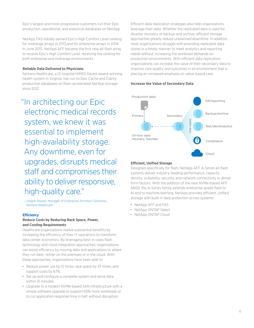<span id="page-5-0"></span>Epic's largest and most progressive customers run their Epic production, operational, and analytical databases on NetApp.

NetApp FAS initially earned Epic's High Comfort Level ranking for midrange arrays in 2013,and for enterprise arrays in 2014. In June 2015, NetApp AFF became the first new all-flash array to receive Epic's High Comfort Level, receiving the ranking for both enterprise and midrange environments.

# **Reliable Data Delivered to Physicians**

Sentara Healthcare, a 12-hospital HIMSS Davies award-winning health system in Virginia, has run its Epic Caché and Clarity production databases on flash-accelerated NetApp storage since 2012.

"In architecting our Epic electronic medical records system, we knew it was essential to implement high-availability storage. Any downtime, even for upgrades, disrupts medical staff and compromises their ability to deliver responsive, high-quality care."

—Joseph Rowell, Manager of Enterprise Architect Solutions, Sentara Healthcare

#### **Efciency**

# **Reduce Costs by Reducing Rack Space, Power, and Cooling Requirements**

Healthcare organizations realize substantial benefits by increasing the efficiency of their IT operations to transform data center economics. By leveraging best-in-class flash technology and cloud integration approaches, organizations can boost efficiency by moving data and applications to where they run best-either on the premises or in the cloud. With these approaches, organizations have been able to:

- Reduce power use by 15 times, rack space by 37 times, and support costs by 67%.
- Set up and configure a complete system and serve data within 10 minutes.
- Upgrade to a modern NVMe-based SAN infrastructure with a simple software upgrade to support 60% more workloads or to cut application response time in half, without disruption.

Efficient data replication strategies also help organizations leverage their data. Whether the replicated data is used for disaster recovery or backup and archive, efficient storage approaches greatly reduce unplanned downtime. In addition, most organizations struggle with providing replicated data stores in a timely manner to meet analytics and reporting needs without increasing the workload demands on production environments. With efficient data replication, organizations can increase the value of their secondary data to improve care quality and outcomes in an environment that is placing an increased emphasis on value-based care.

### **Increase the Value of Secondary Data**



### **Efcient, Unified Storage**

Designed specifically for flash, NetApp AFF A-Series all-flash systems deliver industry-leading performance, capacity density, scalability, security, and network connectivity in dense form factors. With the addition of the new NVMe-based AFF A800, the A-Series family extends enterprise-grade flash to AI and to machine learning. NetApp provides efficient, unified storage with built-in data protection across systems:

- NetApp AFF and FAS
- NetApp ONTAP Select
- NetApp ONTAP Cloud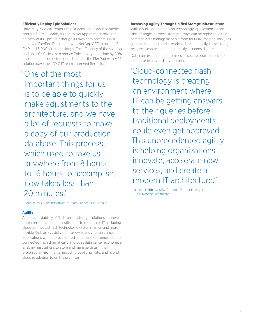# <span id="page-6-0"></span>**Efciently Deploy Epic Solutions**

University Medical Center New Orleans, the academic medical center of LCMC Health, turned to NetApp to modernize the delivery of its Epic EMR though its own data centers. LCMC deployed FlexPod Datacenter with NetApp AFF to host its Epic EMR and 3,000 virtual desktops. The efficiency of the solution enabled LCMC Health to reduce Epic deployment time by 80%. In addition to the performance benefits, the FlexPod with AFF solution gave the LCMC IT team improved flexibility.

"One of the most important things for us is to be able to quickly make adjustments to the architecture, and we have a lot of requests to make a copy of our production database. This process, which used to take us anywhere from 8 hours to 16 hours to accomplish, now takes less than 20 minutes."

**Increasing Agility Through Unified Storage Infrastructure**

With cloud-connected flash technology, application-based silos of single-purpose storage arrays can be replaced with a common data management platform for EMR, imaging, analytics, genomics, and enterprise workloads. Additionally, these storage resources can be expanded quickly as needs dictate.

Data can reside on the premises, in secure public or private clouds, or in a hybrid environment.

"Cloud-connected flash technology is creating an environment where IT can be getting answers to their queries before traditional deployments could even get approved. This unprecedented agility is helping organizations innovate, accelerate new services, and create a modern IT architecture."

—Joseph Hobbs, CHCIO, Strategic Partner Manager Epic, NetApp Healthcare

—Austin Park, Epic Infrastructure Team Leader, LCMC Health

# **Agility**

As the affordability of flash-based storage solutions improves, it's easier for healthcare institutions to modernize IT, including cloud-connected flash technology. Faster, smaller, and more flexible flash arrays deliver ultra-low latency to run clinical applications with unprecedented speed and efficiency. Cloudconnected flash dramatically improves data center economics, enabling institutions to store and manage data in their preferred environments, including public, private, and hybrid cloud in addition to on the premises.